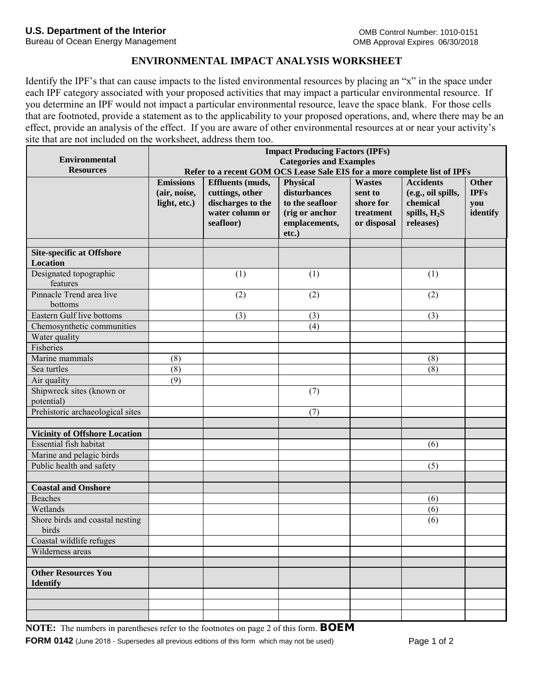Bureau of Ocean Energy Management

## **ENVIRONMENTAL IMPACT ANALYSIS WORKSHEET**

Identify the IPF's that can cause impacts to the listed environmental resources by placing an "x" in the space under each IPF category associated with your proposed activities that may impact a particular environmental resource. If you determine an IPF would not impact a particular environmental resource, leave the space blank. For those cells that are footnoted, provide a statement as to the applicability to your proposed operations, and, where there may be an effect, provide an analysis of the effect. If you are aware of other environmental resources at or near your activity's site that are not included on the worksheet, address them too.

|                                                     | <b>Impact Producing Factors (IPFs)</b><br><b>Categories and Examples</b><br>Refer to a recent GOM OCS Lease Sale EIS for a more complete list of IPFs |                                                                                                 |                                                                                                   |                                                                   |                                                                                   |                                         |
|-----------------------------------------------------|-------------------------------------------------------------------------------------------------------------------------------------------------------|-------------------------------------------------------------------------------------------------|---------------------------------------------------------------------------------------------------|-------------------------------------------------------------------|-----------------------------------------------------------------------------------|-----------------------------------------|
| <b>Environmental</b>                                |                                                                                                                                                       |                                                                                                 |                                                                                                   |                                                                   |                                                                                   |                                         |
| <b>Resources</b>                                    |                                                                                                                                                       |                                                                                                 |                                                                                                   |                                                                   |                                                                                   |                                         |
|                                                     | <b>Emissions</b><br>(air, noise,<br>light, etc.)                                                                                                      | <b>Effluents</b> (muds,<br>cuttings, other<br>discharges to the<br>water column or<br>seafloor) | <b>Physical</b><br>disturbances<br>to the seafloor<br>(rig or anchor<br>emplacements,<br>$etc.$ ) | <b>Wastes</b><br>sent to<br>shore for<br>treatment<br>or disposal | <b>Accidents</b><br>(e.g., oil spills,<br>chemical<br>spills, $H_2S$<br>releases) | Other<br><b>IPFs</b><br>you<br>identify |
|                                                     |                                                                                                                                                       |                                                                                                 |                                                                                                   |                                                                   |                                                                                   |                                         |
| <b>Site-specific at Offshore</b><br><b>Location</b> |                                                                                                                                                       |                                                                                                 |                                                                                                   |                                                                   |                                                                                   |                                         |
| Designated topographic                              |                                                                                                                                                       | (1)                                                                                             | (1)                                                                                               |                                                                   | (1)                                                                               |                                         |
| features                                            |                                                                                                                                                       |                                                                                                 |                                                                                                   |                                                                   |                                                                                   |                                         |
| Pinnacle Trend area live                            |                                                                                                                                                       | (2)                                                                                             | (2)                                                                                               |                                                                   | (2)                                                                               |                                         |
| bottoms                                             |                                                                                                                                                       |                                                                                                 |                                                                                                   |                                                                   |                                                                                   |                                         |
| Eastern Gulf live bottoms                           |                                                                                                                                                       | (3)                                                                                             | (3)                                                                                               |                                                                   | (3)                                                                               |                                         |
| Chemosynthetic communities                          |                                                                                                                                                       |                                                                                                 | (4)                                                                                               |                                                                   |                                                                                   |                                         |
| Water quality                                       |                                                                                                                                                       |                                                                                                 |                                                                                                   |                                                                   |                                                                                   |                                         |
| Fisheries                                           |                                                                                                                                                       |                                                                                                 |                                                                                                   |                                                                   |                                                                                   |                                         |
| Marine mammals                                      | (8)                                                                                                                                                   |                                                                                                 |                                                                                                   |                                                                   | (8)                                                                               |                                         |
| Sea turtles                                         | (8)                                                                                                                                                   |                                                                                                 |                                                                                                   |                                                                   | (8)                                                                               |                                         |
| Air quality                                         | (9)                                                                                                                                                   |                                                                                                 |                                                                                                   |                                                                   |                                                                                   |                                         |
| Shipwreck sites (known or                           |                                                                                                                                                       |                                                                                                 | (7)                                                                                               |                                                                   |                                                                                   |                                         |
| potential)                                          |                                                                                                                                                       |                                                                                                 |                                                                                                   |                                                                   |                                                                                   |                                         |
| Prehistoric archaeological sites                    |                                                                                                                                                       |                                                                                                 | (7)                                                                                               |                                                                   |                                                                                   |                                         |
|                                                     |                                                                                                                                                       |                                                                                                 |                                                                                                   |                                                                   |                                                                                   |                                         |
| <b>Vicinity of Offshore Location</b>                |                                                                                                                                                       |                                                                                                 |                                                                                                   |                                                                   |                                                                                   |                                         |
| Essential fish habitat                              |                                                                                                                                                       |                                                                                                 |                                                                                                   |                                                                   | (6)                                                                               |                                         |
| Marine and pelagic birds                            |                                                                                                                                                       |                                                                                                 |                                                                                                   |                                                                   |                                                                                   |                                         |
| Public health and safety                            |                                                                                                                                                       |                                                                                                 |                                                                                                   |                                                                   | (5)                                                                               |                                         |
|                                                     |                                                                                                                                                       |                                                                                                 |                                                                                                   |                                                                   |                                                                                   |                                         |
| <b>Coastal and Onshore</b>                          |                                                                                                                                                       |                                                                                                 |                                                                                                   |                                                                   |                                                                                   |                                         |
| <b>Beaches</b>                                      |                                                                                                                                                       |                                                                                                 |                                                                                                   |                                                                   | (6)                                                                               |                                         |
| Wetlands                                            |                                                                                                                                                       |                                                                                                 |                                                                                                   |                                                                   | (6)                                                                               |                                         |
| Shore birds and coastal nesting<br>birds            |                                                                                                                                                       |                                                                                                 |                                                                                                   |                                                                   | (6)                                                                               |                                         |
| Coastal wildlife refuges                            |                                                                                                                                                       |                                                                                                 |                                                                                                   |                                                                   |                                                                                   |                                         |
| Wilderness areas                                    |                                                                                                                                                       |                                                                                                 |                                                                                                   |                                                                   |                                                                                   |                                         |
|                                                     |                                                                                                                                                       |                                                                                                 |                                                                                                   |                                                                   |                                                                                   |                                         |
| <b>Other Resources You</b><br><b>Identify</b>       |                                                                                                                                                       |                                                                                                 |                                                                                                   |                                                                   |                                                                                   |                                         |
|                                                     |                                                                                                                                                       |                                                                                                 |                                                                                                   |                                                                   |                                                                                   |                                         |
|                                                     |                                                                                                                                                       |                                                                                                 |                                                                                                   |                                                                   |                                                                                   |                                         |
|                                                     |                                                                                                                                                       |                                                                                                 |                                                                                                   |                                                                   |                                                                                   |                                         |

**NOTE:** The numbers in parentheses refer to the footnotes on page 2 of this form. **BOEM** 

**FORM 0142** (June 2018 - Supersedes all previous editions of this form which may not be used) Page 1 of 2